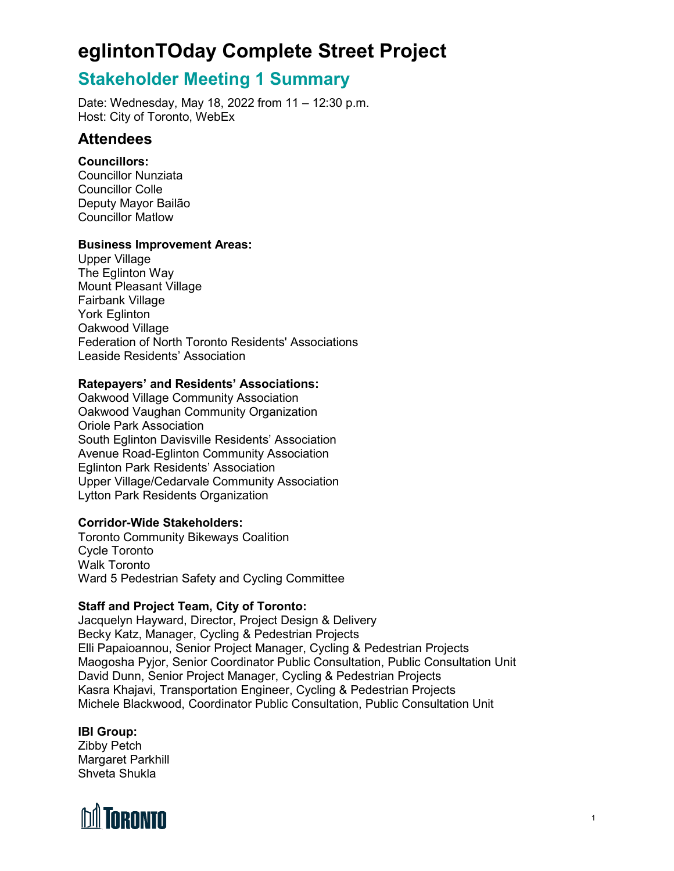## **Stakeholder Meeting 1 Summary**

Date: Wednesday, May 18, 2022 from 11 – 12:30 p.m. Host: City of Toronto, WebEx

### **Attendees**

### **Councillors:**

Councillor Nunziata Councillor Colle Deputy Mayor Bailão Councillor Matlow

### **Business Improvement Areas:**

Upper Village The Eglinton Way Mount Pleasant Village Fairbank Village York Eglinton Oakwood Village Federation of North Toronto Residents' Associations Leaside Residents' Association

### **Ratepayers' and Residents' Associations:**

Oakwood Village Community Association Oakwood Vaughan Community Organization Oriole Park Association South Eglinton Davisville Residents' Association Avenue Road-Eglinton Community Association Eglinton Park Residents' Association Upper Village/Cedarvale Community Association Lytton Park Residents Organization

### **Corridor-Wide Stakeholders:**

Toronto Community Bikeways Coalition Cycle Toronto Walk Toronto Ward 5 Pedestrian Safety and Cycling Committee

### **Staff and Project Team, City of Toronto:**

Jacquelyn Hayward, Director, Project Design & Delivery Becky Katz, Manager, Cycling & Pedestrian Projects Elli Papaioannou, Senior Project Manager, Cycling & Pedestrian Projects Maogosha Pyjor, Senior Coordinator Public Consultation, Public Consultation Unit David Dunn, Senior Project Manager, Cycling & Pedestrian Projects Kasra Khajavi, Transportation Engineer, Cycling & Pedestrian Projects Michele Blackwood, Coordinator Public Consultation, Public Consultation Unit

### **IBI Group:**

Zibby Petch Margaret Parkhill Shveta Shukla

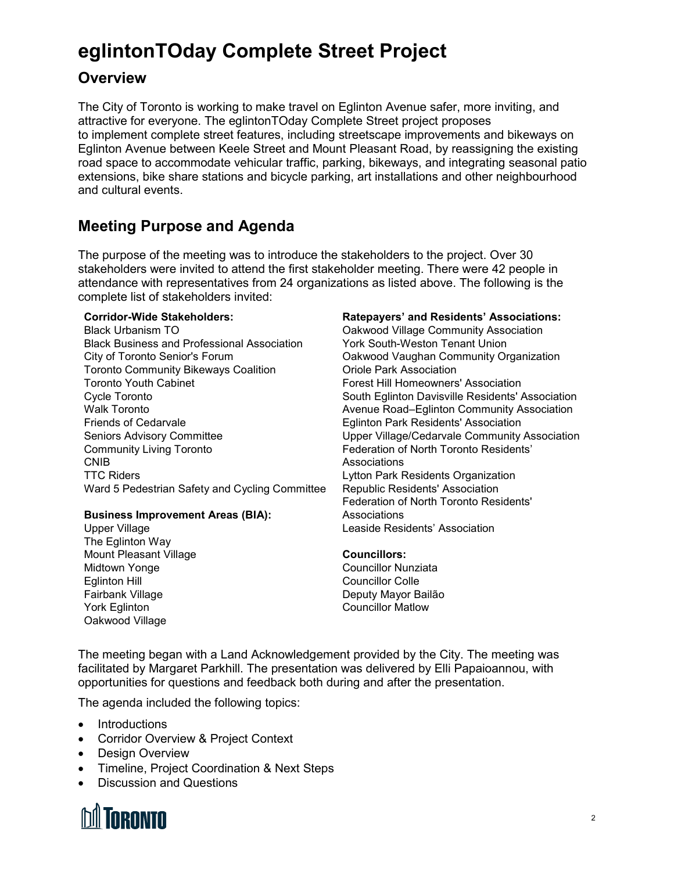## **Overview**

The City of Toronto is working to make travel on Eglinton Avenue safer, more inviting, and attractive for everyone. The eglintonTOday Complete Street project proposes to implement complete street features, including streetscape improvements and bikeways on Eglinton Avenue between Keele Street and Mount Pleasant Road, by reassigning the existing road space to accommodate vehicular traffic, parking, bikeways, and integrating seasonal patio extensions, bike share stations and bicycle parking, art installations and other neighbourhood and cultural events.

## **Meeting Purpose and Agenda**

The purpose of the meeting was to introduce the stakeholders to the project. Over 30 stakeholders were invited to attend the first stakeholder meeting. There were 42 people in attendance with representatives from 24 organizations as listed above. The following is the complete list of stakeholders invited:

#### **Corridor-Wide Stakeholders:**

Black Urbanism TO Black Business and Professional Association City of Toronto Senior's Forum Toronto Community Bikeways Coalition Toronto Youth Cabinet Cycle Toronto Walk Toronto Friends of Cedarvale Seniors Advisory Committee Community Living Toronto CNIB TTC Riders Ward 5 Pedestrian Safety and Cycling Committee

### **Business Improvement Areas (BIA):**

Upper Village The Eglinton Way Mount Pleasant Village Midtown Yonge Eglinton Hill Fairbank Village York Eglinton Oakwood Village

#### **Ratepayers' and Residents' Associations:**

Oakwood Village Community Association York South-Weston Tenant Union Oakwood Vaughan Community Organization Oriole Park Association Forest Hill Homeowners' Association South Eglinton Davisville Residents' Association Avenue Road–Eglinton Community Association Eglinton Park Residents' Association Upper Village/Cedarvale Community Association Federation of North Toronto Residents' Associations Lytton Park Residents Organization Republic Residents' Association Federation of North Toronto Residents' Associations Leaside Residents' Association

### **Councillors:** Councillor Nunziata

Councillor Colle Deputy Mayor Bailão Councillor Matlow

The meeting began with a Land Acknowledgement provided by the City. The meeting was facilitated by Margaret Parkhill. The presentation was delivered by Elli Papaioannou, with opportunities for questions and feedback both during and after the presentation.

The agenda included the following topics:

- Introductions
- Corridor Overview & Project Context
- Design Overview
- Timeline, Project Coordination & Next Steps
- Discussion and Questions

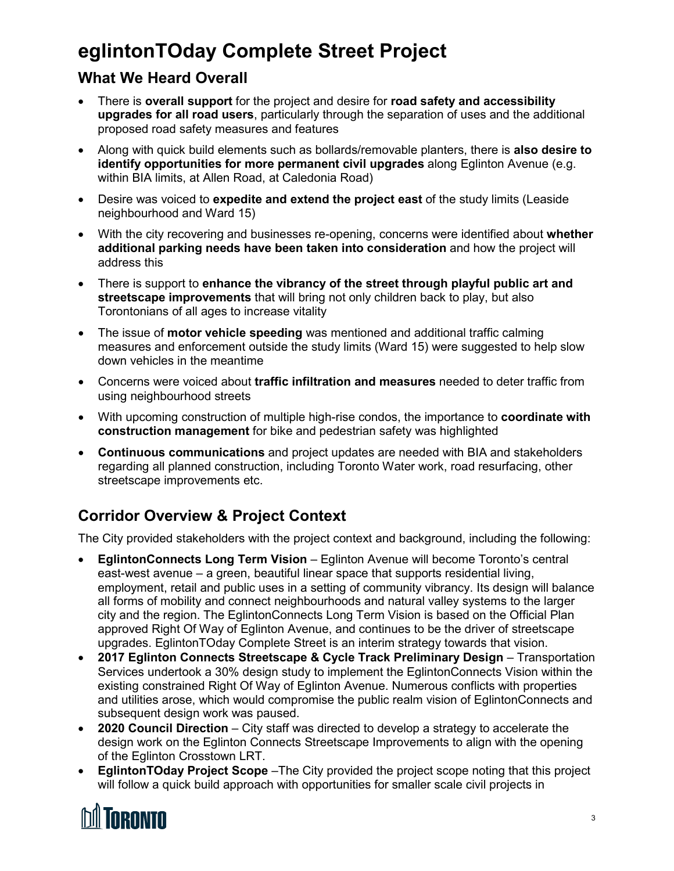## **What We Heard Overall**

- There is **overall support** for the project and desire for **road safety and accessibility upgrades for all road users**, particularly through the separation of uses and the additional proposed road safety measures and features
- Along with quick build elements such as bollards/removable planters, there is **also desire to identify opportunities for more permanent civil upgrades** along Eglinton Avenue (e.g. within BIA limits, at Allen Road, at Caledonia Road)
- Desire was voiced to **expedite and extend the project east** of the study limits (Leaside neighbourhood and Ward 15)
- With the city recovering and businesses re-opening, concerns were identified about **whether additional parking needs have been taken into consideration** and how the project will address this
- There is support to **enhance the vibrancy of the street through playful public art and streetscape improvements** that will bring not only children back to play, but also Torontonians of all ages to increase vitality
- The issue of **motor vehicle speeding** was mentioned and additional traffic calming measures and enforcement outside the study limits (Ward 15) were suggested to help slow down vehicles in the meantime
- Concerns were voiced about **traffic infiltration and measures** needed to deter traffic from using neighbourhood streets
- With upcoming construction of multiple high-rise condos, the importance to **coordinate with construction management** for bike and pedestrian safety was highlighted
- **Continuous communications** and project updates are needed with BIA and stakeholders regarding all planned construction, including Toronto Water work, road resurfacing, other streetscape improvements etc.

## **Corridor Overview & Project Context**

The City provided stakeholders with the project context and background, including the following:

- **EglintonConnects Long Term Vision** Eglinton Avenue will become Toronto's central east-west avenue – a green, beautiful linear space that supports residential living, employment, retail and public uses in a setting of community vibrancy. Its design will balance all forms of mobility and connect neighbourhoods and natural valley systems to the larger city and the region. The EglintonConnects Long Term Vision is based on the Official Plan approved Right Of Way of Eglinton Avenue, and continues to be the driver of streetscape upgrades. EglintonTOday Complete Street is an interim strategy towards that vision.
- **2017 Eglinton Connects Streetscape & Cycle Track Preliminary Design**  Transportation Services undertook a 30% design study to implement the EglintonConnects Vision within the existing constrained Right Of Way of Eglinton Avenue. Numerous conflicts with properties and utilities arose, which would compromise the public realm vision of EglintonConnects and subsequent design work was paused.
- **2020 Council Direction** City staff was directed to develop a strategy to accelerate the design work on the Eglinton Connects Streetscape Improvements to align with the opening of the Eglinton Crosstown LRT.
- **EglintonTOday Project Scope** –The City provided the project scope noting that this project will follow a quick build approach with opportunities for smaller scale civil projects in

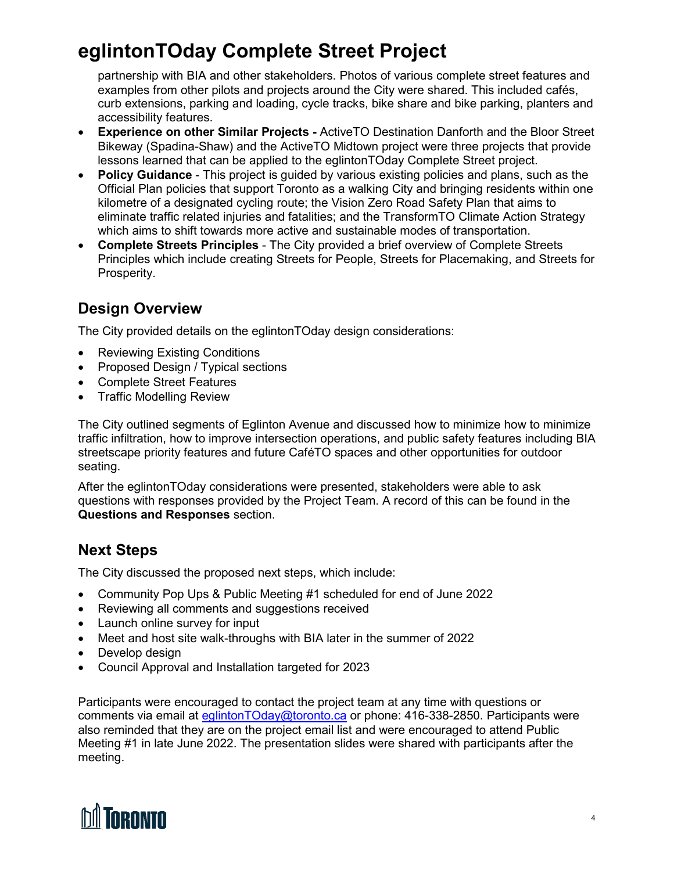partnership with BIA and other stakeholders. Photos of various complete street features and examples from other pilots and projects around the City were shared. This included cafés, curb extensions, parking and loading, cycle tracks, bike share and bike parking, planters and accessibility features.

- **Experience on other Similar Projects -** ActiveTO Destination Danforth and the Bloor Street Bikeway (Spadina-Shaw) and the ActiveTO Midtown project were three projects that provide lessons learned that can be applied to the eglintonTOday Complete Street project.
- **Policy Guidance** This project is guided by various existing policies and plans, such as the Official Plan policies that support Toronto as a walking City and bringing residents within one kilometre of a designated cycling route; the Vision Zero Road Safety Plan that aims to eliminate traffic related injuries and fatalities; and the TransformTO Climate Action Strategy which aims to shift towards more active and sustainable modes of transportation.
- **Complete Streets Principles** The City provided a brief overview of Complete Streets Principles which include creating Streets for People, Streets for Placemaking, and Streets for Prosperity.

## **Design Overview**

The City provided details on the eglintonTOday design considerations:

- Reviewing Existing Conditions
- Proposed Design / Typical sections
- Complete Street Features
- Traffic Modelling Review

The City outlined segments of Eglinton Avenue and discussed how to minimize how to minimize traffic infiltration, how to improve intersection operations, and public safety features including BIA streetscape priority features and future CaféTO spaces and other opportunities for outdoor seating.

After the eglintonTOday considerations were presented, stakeholders were able to ask questions with responses provided by the Project Team. A record of this can be found in the **Questions and Responses** section.

## **Next Steps**

The City discussed the proposed next steps, which include:

- Community Pop Ups & Public Meeting #1 scheduled for end of June 2022
- Reviewing all comments and suggestions received
- Launch online survey for input
- Meet and host site walk-throughs with BIA later in the summer of 2022
- Develop design
- Council Approval and Installation targeted for 2023

Participants were encouraged to contact the project team at any time with questions or comments via email at [eglintonTOday@toronto.ca](mailto:eglintonTOday@toronto.ca) or phone: 416-338-2850. Participants were also reminded that they are on the project email list and were encouraged to attend Public Meeting #1 in late June 2022. The presentation slides were shared with participants after the meeting.

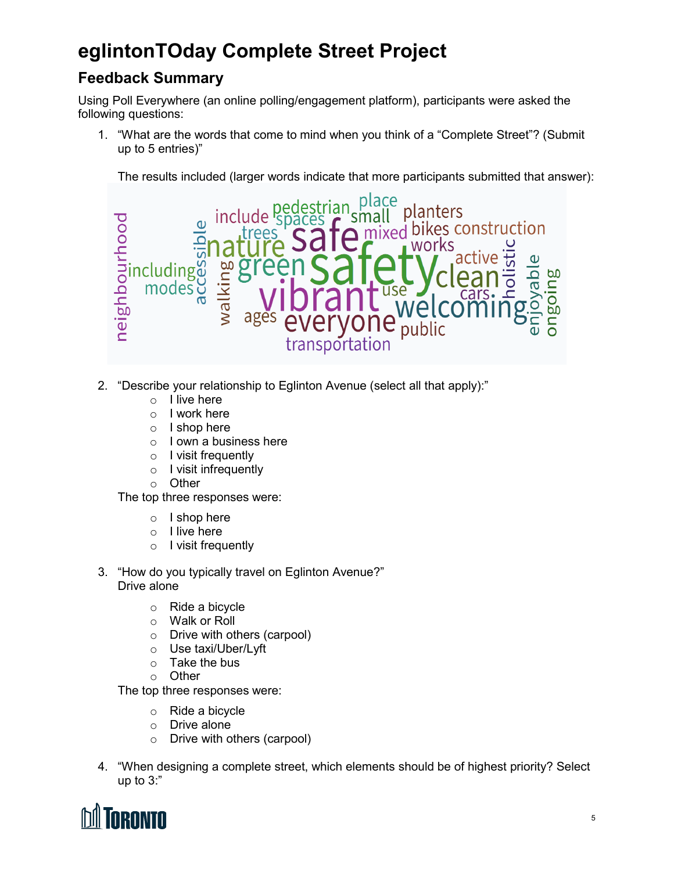## **Feedback Summary**

Using Poll Everywhere (an online polling/engagement platform), participants were asked the following questions:

1. "What are the words that come to mind when you think of a "Complete Street"? (Submit up to 5 entries)"

The results included (larger words indicate that more participants submitted that answer):



- 2. "Describe your relationship to Eglinton Avenue (select all that apply):"
	- o I live here
	- o I work here
	- o I shop here
	- o I own a business here
	- o I visit frequently
	- o I visit infrequently
	- o Other

The top three responses were:

- o I shop here
- o I live here
- o I visit frequently
- 3. "How do you typically travel on Eglinton Avenue?" Drive alone
	- o Ride a bicycle
	- o Walk or Roll
	- o Drive with others (carpool)
	- o Use taxi/Uber/Lyft
	- o Take the bus
	- o Other

The top three responses were:

- o Ride a bicycle
- o Drive alone
- o Drive with others (carpool)
- 4. "When designing a complete street, which elements should be of highest priority? Select up to 3:"

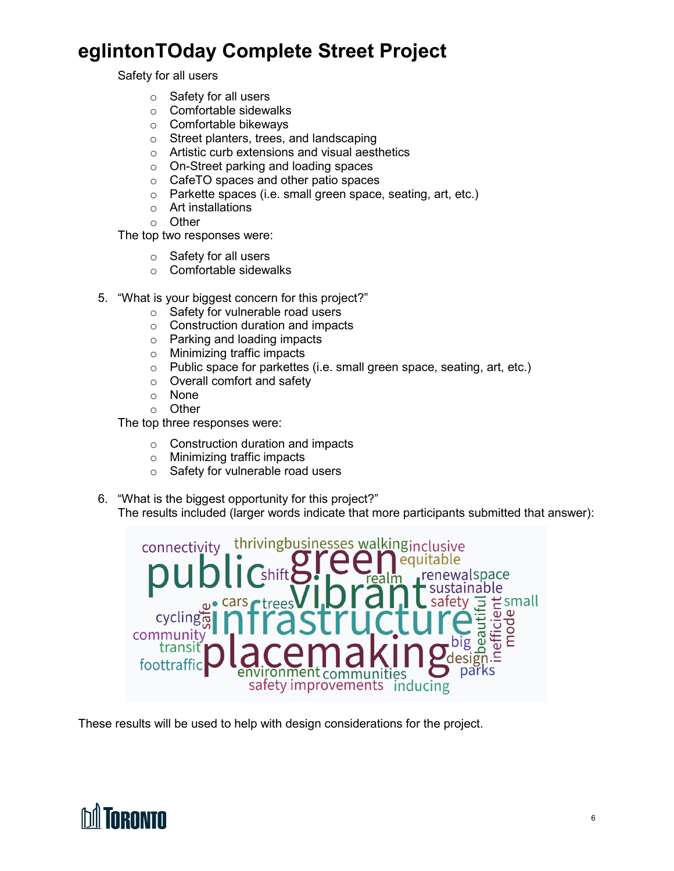Safety for all users

- o Safety for all users
- o Comfortable sidewalks
- o Comfortable bikeways
- o Street planters, trees, and landscaping
- o Artistic curb extensions and visual aesthetics
- o On-Street parking and loading spaces
- o CafeTO spaces and other patio spaces
- o Parkette spaces (i.e. small green space, seating, art, etc.)
- o Art installations
- o Other

The top two responses were:

- o Safety for all users
- o Comfortable sidewalks
- 5. "What is your biggest concern for this project?"
	- o Safety for vulnerable road users
	- o Construction duration and impacts
	- o Parking and loading impacts
	- o Minimizing traffic impacts
	- o Public space for parkettes (i.e. small green space, seating, art, etc.)
	- o Overall comfort and safety
	- o None
	- o Other

The top three responses were:

- $\circ$  Construction duration and impacts
- o Minimizing traffic impacts
- o Safety for vulnerable road users
- 6. "What is the biggest opportunity for this project?"
	- The results included (larger words indicate that more participants submitted that answer):



These results will be used to help with design considerations for the project.

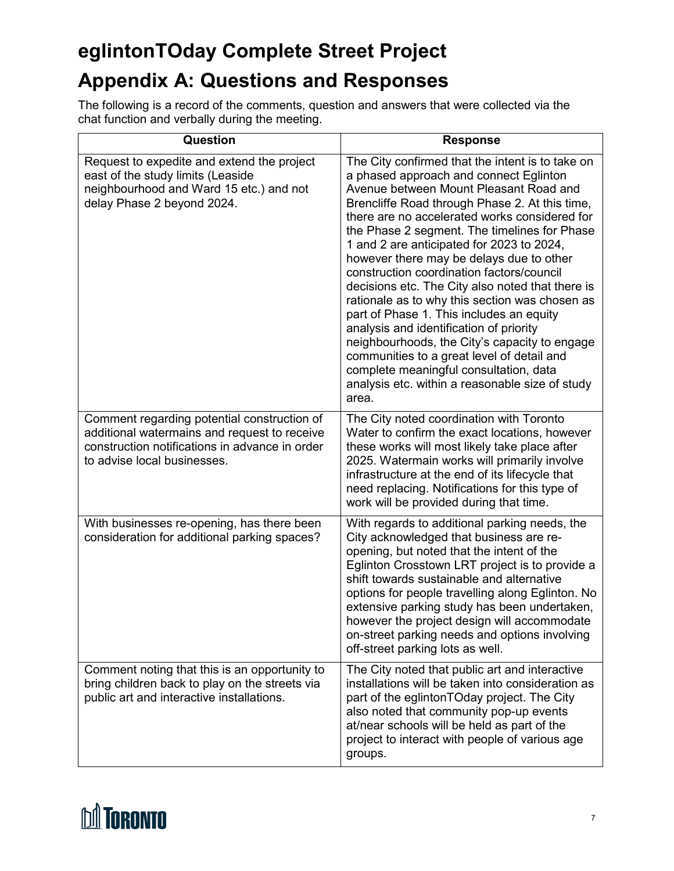# **eglintonTOday Complete Street Project Appendix A: Questions and Responses**

The following is a record of the comments, question and answers that were collected via the chat function and verbally during the meeting.

| Question                                                                                                                                                                     | <b>Response</b>                                                                                                                                                                                                                                                                                                                                                                                                                                                                                                                                                                                                                                                                                                                                                                                                                 |
|------------------------------------------------------------------------------------------------------------------------------------------------------------------------------|---------------------------------------------------------------------------------------------------------------------------------------------------------------------------------------------------------------------------------------------------------------------------------------------------------------------------------------------------------------------------------------------------------------------------------------------------------------------------------------------------------------------------------------------------------------------------------------------------------------------------------------------------------------------------------------------------------------------------------------------------------------------------------------------------------------------------------|
| Request to expedite and extend the project<br>east of the study limits (Leaside<br>neighbourhood and Ward 15 etc.) and not<br>delay Phase 2 beyond 2024.                     | The City confirmed that the intent is to take on<br>a phased approach and connect Eglinton<br>Avenue between Mount Pleasant Road and<br>Brencliffe Road through Phase 2. At this time,<br>there are no accelerated works considered for<br>the Phase 2 segment. The timelines for Phase<br>1 and 2 are anticipated for 2023 to 2024,<br>however there may be delays due to other<br>construction coordination factors/council<br>decisions etc. The City also noted that there is<br>rationale as to why this section was chosen as<br>part of Phase 1. This includes an equity<br>analysis and identification of priority<br>neighbourhoods, the City's capacity to engage<br>communities to a great level of detail and<br>complete meaningful consultation, data<br>analysis etc. within a reasonable size of study<br>area. |
| Comment regarding potential construction of<br>additional watermains and request to receive<br>construction notifications in advance in order<br>to advise local businesses. | The City noted coordination with Toronto<br>Water to confirm the exact locations, however<br>these works will most likely take place after<br>2025. Watermain works will primarily involve<br>infrastructure at the end of its lifecycle that<br>need replacing. Notifications for this type of<br>work will be provided during that time.                                                                                                                                                                                                                                                                                                                                                                                                                                                                                      |
| With businesses re-opening, has there been<br>consideration for additional parking spaces?                                                                                   | With regards to additional parking needs, the<br>City acknowledged that business are re-<br>opening, but noted that the intent of the<br>Eglinton Crosstown LRT project is to provide a<br>shift towards sustainable and alternative<br>options for people travelling along Eglinton. No<br>extensive parking study has been undertaken,<br>however the project design will accommodate<br>on-street parking needs and options involving<br>off-street parking lots as well.                                                                                                                                                                                                                                                                                                                                                    |
| Comment noting that this is an opportunity to<br>bring children back to play on the streets via<br>public art and interactive installations.                                 | The City noted that public art and interactive<br>installations will be taken into consideration as<br>part of the eglintonTOday project. The City<br>also noted that community pop-up events<br>at/near schools will be held as part of the<br>project to interact with people of various age<br>groups.                                                                                                                                                                                                                                                                                                                                                                                                                                                                                                                       |

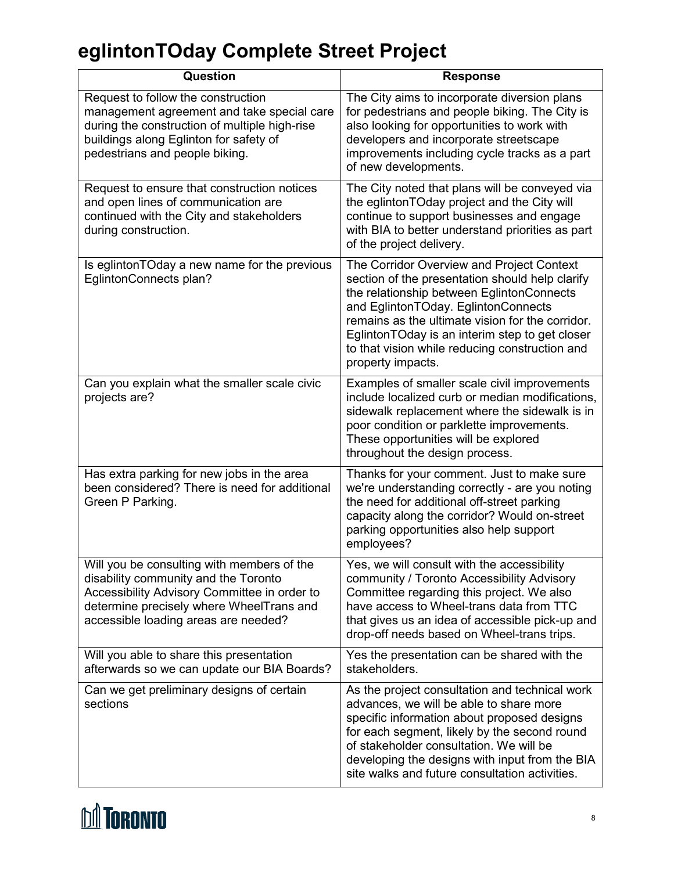| Question                                                                                                                                                                                                               | <b>Response</b>                                                                                                                                                                                                                                                                                                                                               |
|------------------------------------------------------------------------------------------------------------------------------------------------------------------------------------------------------------------------|---------------------------------------------------------------------------------------------------------------------------------------------------------------------------------------------------------------------------------------------------------------------------------------------------------------------------------------------------------------|
| Request to follow the construction<br>management agreement and take special care<br>during the construction of multiple high-rise<br>buildings along Eglinton for safety of<br>pedestrians and people biking.          | The City aims to incorporate diversion plans<br>for pedestrians and people biking. The City is<br>also looking for opportunities to work with<br>developers and incorporate streetscape<br>improvements including cycle tracks as a part<br>of new developments.                                                                                              |
| Request to ensure that construction notices<br>and open lines of communication are<br>continued with the City and stakeholders<br>during construction.                                                                 | The City noted that plans will be conveyed via<br>the eglintonTOday project and the City will<br>continue to support businesses and engage<br>with BIA to better understand priorities as part<br>of the project delivery.                                                                                                                                    |
| Is eglintonTOday a new name for the previous<br>EglintonConnects plan?                                                                                                                                                 | The Corridor Overview and Project Context<br>section of the presentation should help clarify<br>the relationship between EglintonConnects<br>and EglintonTOday. EglintonConnects<br>remains as the ultimate vision for the corridor.<br>EglintonTOday is an interim step to get closer<br>to that vision while reducing construction and<br>property impacts. |
| Can you explain what the smaller scale civic<br>projects are?                                                                                                                                                          | Examples of smaller scale civil improvements<br>include localized curb or median modifications,<br>sidewalk replacement where the sidewalk is in<br>poor condition or parklette improvements.<br>These opportunities will be explored<br>throughout the design process.                                                                                       |
| Has extra parking for new jobs in the area<br>been considered? There is need for additional<br>Green P Parking.                                                                                                        | Thanks for your comment. Just to make sure<br>we're understanding correctly - are you noting<br>the need for additional off-street parking<br>capacity along the corridor? Would on-street<br>parking opportunities also help support<br>employees?                                                                                                           |
| Will you be consulting with members of the<br>disability community and the Toronto<br>Accessibility Advisory Committee in order to<br>determine precisely where WheelTrans and<br>accessible loading areas are needed? | Yes, we will consult with the accessibility<br>community / Toronto Accessibility Advisory<br>Committee regarding this project. We also<br>have access to Wheel-trans data from TTC<br>that gives us an idea of accessible pick-up and<br>drop-off needs based on Wheel-trans trips.                                                                           |
| Will you able to share this presentation<br>afterwards so we can update our BIA Boards?                                                                                                                                | Yes the presentation can be shared with the<br>stakeholders.                                                                                                                                                                                                                                                                                                  |
| Can we get preliminary designs of certain<br>sections                                                                                                                                                                  | As the project consultation and technical work<br>advances, we will be able to share more<br>specific information about proposed designs<br>for each segment, likely by the second round<br>of stakeholder consultation. We will be<br>developing the designs with input from the BIA<br>site walks and future consultation activities.                       |

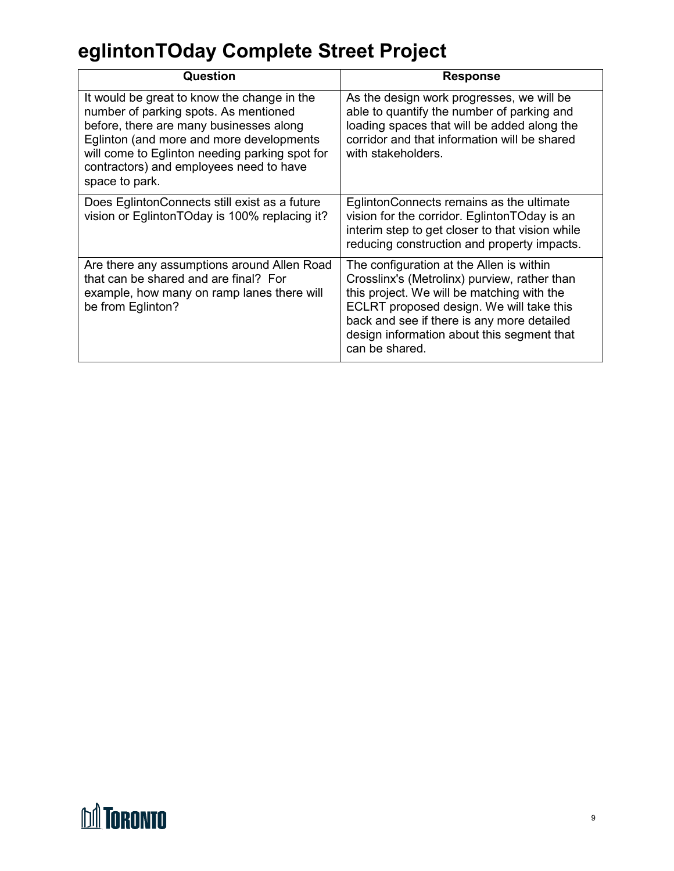| Question                                                                                                                                                                                                                                                                                   | <b>Response</b>                                                                                                                                                                                                                                                                                  |
|--------------------------------------------------------------------------------------------------------------------------------------------------------------------------------------------------------------------------------------------------------------------------------------------|--------------------------------------------------------------------------------------------------------------------------------------------------------------------------------------------------------------------------------------------------------------------------------------------------|
| It would be great to know the change in the<br>number of parking spots. As mentioned<br>before, there are many businesses along<br>Eglinton (and more and more developments<br>will come to Eglinton needing parking spot for<br>contractors) and employees need to have<br>space to park. | As the design work progresses, we will be<br>able to quantify the number of parking and<br>loading spaces that will be added along the<br>corridor and that information will be shared<br>with stakeholders.                                                                                     |
| Does EglintonConnects still exist as a future<br>vision or EglintonTOday is 100% replacing it?                                                                                                                                                                                             | EglintonConnects remains as the ultimate<br>vision for the corridor. EglintonTOday is an<br>interim step to get closer to that vision while<br>reducing construction and property impacts.                                                                                                       |
| Are there any assumptions around Allen Road<br>that can be shared and are final? For<br>example, how many on ramp lanes there will<br>be from Eglinton?                                                                                                                                    | The configuration at the Allen is within<br>Crosslinx's (Metrolinx) purview, rather than<br>this project. We will be matching with the<br>ECLRT proposed design. We will take this<br>back and see if there is any more detailed<br>design information about this segment that<br>can be shared. |